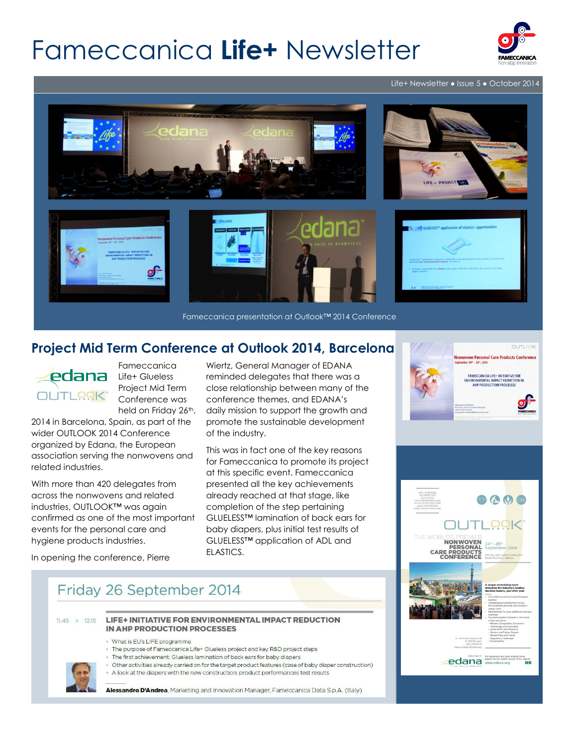# Fameccanica **Life+** Newsletter



Life+ Newsletter ● Issue 5 ● October 2014



Fameccanica presentation at Outlook™ 2014 Conference

### **Project Mid Term Conference at Outlook 2014, Barcelona**



Fameccanica Life+ Glueless Project Mid Term Conference was held on Friday 26<sup>th</sup>,

2014 in Barcelona, Spain, as part of the wider OUTLOOK 2014 Conference organized by Edana, the European association serving the nonwovens and related industries.

With more than 420 delegates from across the nonwovens and related industries, OUTLOOK™ was again confirmed as one of the most important events for the personal care and hygiene products industries.

Wiertz, General Manager of EDANA reminded delegates that there was a close relationship between many of the conference themes, and EDANA's daily mission to support the growth and promote the sustainable development of the industry.

This was in fact one of the key reasons for Fameccanica to promote its project at this specific event. Fameccanica presented all the key achievements already reached at that stage, like completion of the step pertaining GLUELESS™ lamination of back ears for baby diapers, plus initial test results of GLUELESS™ application of ADL and ELASTICS.





In opening the conference, Pierre

## Friday 26 September 2014

 $11.45 > 12.15$ 

- LIFE+ INITIATIVE FOR ENVIRONMENTAL IMPACT REDUCTION **IN AHP PRODUCTION PROCESSES** 
	- · What is EU's LIFE programme
	- The purpose of Fameccanica Life+ Glueless project and key R&D project steps
	- The first achievement: Glueless lamination of back ears for baby diapers
	- · Other activities already carried on for the target product features (case of baby diaper construction)
	- A look at the diapers with the new construction: product performances test results

Alessandro D'Andrea, Marketing and Innovation Manager, Fameccanica Data S.p.A. (Italy)